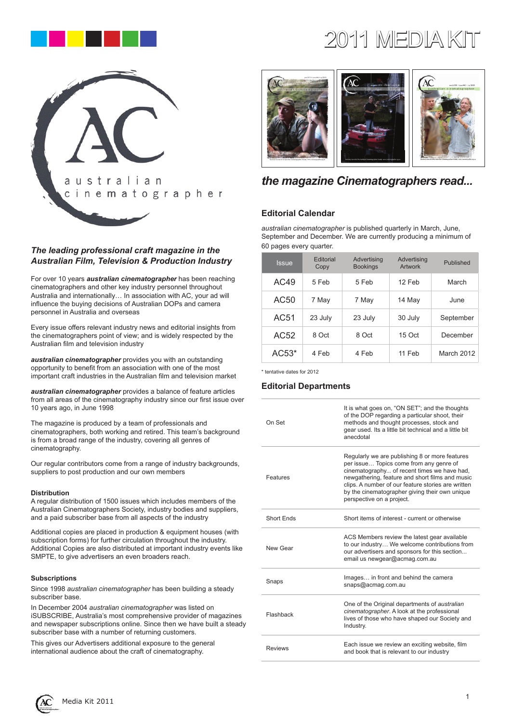

# australian cinematographer

# *The leading professional craft magazine in the Australian Film, Television & Production Industry*

For over 10 years *australian cinematographer* has been reaching cinematographers and other key industry personnel throughout Australia and internationally… In association with AC, your ad will influence the buying decisions of Australian DOPs and camera personnel in Australia and overseas

Every issue offers relevant industry news and editorial insights from the cinematographers point of view; and is widely respected by the Australian film and television industry

*australian cinematographer* provides you with an outstanding opportunity to benefit from an association with one of the most important craft industries in the Australian film and television market

*australian cinematographer* provides a balance of feature articles from all areas of the cinematography industry since our first issue over 10 years ago, in June 1998

The magazine is produced by a team of professionals and cinematographers, both working and retired. This team's background is from a broad range of the industry, covering all genres of cinematography.

Our regular contributors come from a range of industry backgrounds, suppliers to post production and our own members

## **Distribution**

A regular distribution of 1500 issues which includes members of the Australian Cinematographers Society, industry bodies and suppliers, and a paid subscriber base from all aspects of the industry

Additional copies are placed in production & equipment houses (with subscription forms) for further circulation throughout the industry. Additional Copies are also distributed at important industry events like SMPTE, to give advertisers an even broaders reach.

#### **Subscriptions**

Since 1998 *australian cinematographer* has been building a steady subscriber base.

In December 2004 *australian cinematographer* was listed on iSUBSCRIBE, Australia's most comprehensive provider of magazines and newspaper subscriptions online. Since then we have built a steady subscriber base with a number of returning customers.

This gives our Advertisers additional exposure to the general international audience about the craft of cinematography.

# $2011$  MEDIA K



# *the magazine Cinematographers read...*

# **Editorial Calendar**

*australian cinematographer* is published quarterly in March, June, September and December. We are currently producing a minimum of 60 pages every quarter.

| <b>Issue</b> | Editorial<br>Copy | Advertising<br><b>Bookings</b> | Advertising<br>Artwork | Published  |
|--------------|-------------------|--------------------------------|------------------------|------------|
| AC49         | 5 Feb             | 5 Feb                          | 12 Feb                 | March      |
| AC50         | 7 May             | 7 May                          | 14 May                 | June       |
| AC51         | 23 July           | 23 July                        | 30 July                | September  |
| AC52         | 8 Oct             | 8 Oct                          | 15 Oct                 | December   |
| $AC53*$      | 4 Feb             | 4 Feb                          | 11 Feb                 | March 2012 |

\* tentative dates for 2012

# **Editorial Departments**

| On Set         | It is what goes on, "ON SET"; and the thoughts<br>of the DOP regarding a particular shoot, their<br>methods and thought processes, stock and<br>gear used. Its a little bit technical and a little bit<br>anecdotal                                                                                                              |
|----------------|----------------------------------------------------------------------------------------------------------------------------------------------------------------------------------------------------------------------------------------------------------------------------------------------------------------------------------|
| Features       | Regularly we are publishing 8 or more features<br>per issue Topics come from any genre of<br>cinematography of recent times we have had,<br>newgathering, feature and short films and music<br>clips. A number of our feature stories are written<br>by the cinematographer giving their own unique<br>perspective on a project. |
| Short Ends     | Short items of interest - current or otherwise                                                                                                                                                                                                                                                                                   |
| New Gear       | ACS Members review the latest gear available<br>to our industry We welcome contributions from<br>our advertisers and sponsors for this section<br>email us newgear@acmag.com.au                                                                                                                                                  |
| Snaps          | Images in front and behind the camera<br>snaps@acmag.com.au                                                                                                                                                                                                                                                                      |
| Flashback      | One of the Original departments of <i>australian</i><br>cinematographer. A look at the professional<br>lives of those who have shaped our Society and<br>Industry.                                                                                                                                                               |
| <b>Reviews</b> | Each issue we review an exciting website, film<br>and book that is relevant to our industry                                                                                                                                                                                                                                      |

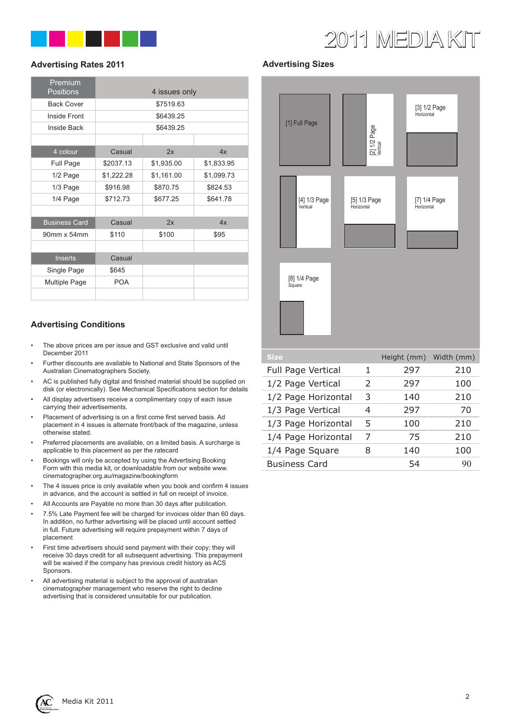

# 2011 MEDIA KIT

# **Advertising Rates 2011**

| Premium<br><b>Positions</b> |            | 4 issues only |            |  |  |
|-----------------------------|------------|---------------|------------|--|--|
| <b>Back Cover</b>           | \$7519.63  |               |            |  |  |
| Inside Front                | \$6439.25  |               |            |  |  |
| Inside Back                 | \$6439.25  |               |            |  |  |
|                             |            |               |            |  |  |
| 4 colour                    | Casual     | 2x            | 4x         |  |  |
| Full Page                   | \$2037.13  | \$1,935.00    | \$1,833.95 |  |  |
| 1/2 Page                    | \$1,222.28 | \$1,161.00    | \$1,099.73 |  |  |
| 1/3 Page                    | \$916.98   | \$870.75      | \$824.53   |  |  |
| 1/4 Page                    | \$712.73   | \$677.25      | \$641.78   |  |  |
|                             |            |               |            |  |  |
| <b>Business Card</b>        | Casual     | 2x            | 4x         |  |  |
| 90mm x 54mm                 | \$110      | \$100         | \$95       |  |  |
|                             |            |               |            |  |  |
| <b>Inserts</b>              | Casual     |               |            |  |  |
| Single Page                 | \$645      |               |            |  |  |
| <b>Multiple Page</b>        | <b>POA</b> |               |            |  |  |
|                             |            |               |            |  |  |

# **Advertising Conditions**

- The above prices are per issue and GST exclusive and valid until December 2011
- Further discounts are available to National and State Sponsors of the Australian Cinematographers Society.
- AC is published fully digital and finished material should be supplied on disk (or electronically). See Mechanical Specifications section for details
- All display advertisers receive a complimentary copy of each issue carrying their advertisements.
- Placement of advertising is on a first come first served basis. Ad placement in 4 issues is alternate front/back of the magazine, unless otherwise stated.
- Preferred placements are available, on a limited basis. A surcharge is applicable to this placement as per the ratecard
- Bookings will only be accepted by using the Advertising Booking Form with this media kit, or downloadable from our website www. cinematographer.org.au/magazine/bookingform
- The 4 issues price is only available when you book and confirm 4 issues in advance, and the account is settled in full on receipt of invoice.
- All Accounts are Payable no more than 30 days after publication.
- 7.5% Late Payment fee will be charged for invoices older than 60 days. In addition, no further advertising will be placed until account settled in full. Future advertising will require prepayment within 7 days of placement
- First time advertisers should send payment with their copy; they will receive 30 days credit for all subsequent advertising. This prepayment will be waived if the company has previous credit history as ACS Sponsors.
- All advertising material is subject to the approval of australian cinematographer management who reserve the right to decline advertising that is considered unsuitable for our publication.

# **Advertising Sizes**



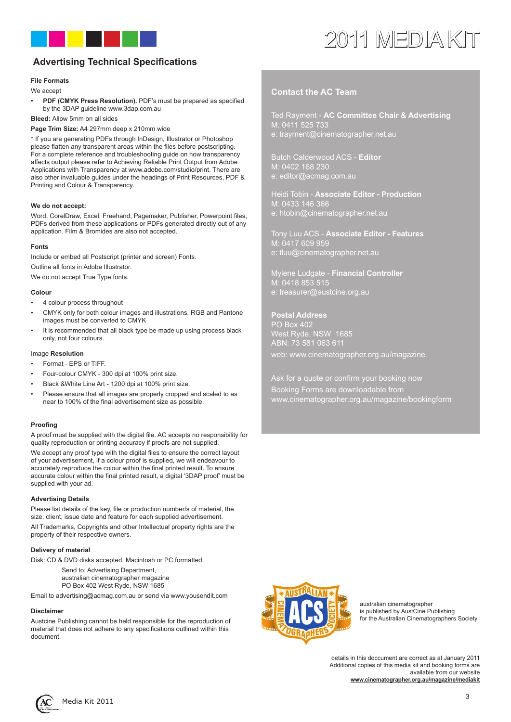

# 2011 MEDIA KIT

# **Advertising Technical Specifications**

## **File Formats**

We accept

• **PDF (CMYK Press Resolution).** PDF's must be prepared as specified by the 3DAP guideline www.3dap.com.au

**Bleed:** Allow 5mm on all sides

**Page Trim Size:** A4 297mm deep x 210mm wide

\* If you are generating PDFs through InDesign, Illustrator or Photoshop please flatten any transparent areas within the files before postscripting. For a complete reference and troubleshooting guide on how transparency affects output please refer to Achieving Reliable Print Output from Adobe Applications with Transparency at www.adobe.com/studio/print. There are also other invaluable guides under the headings of Print Resources, PDF & Printing and Colour & Transparency.

## **We do not accept:**

Word, CorelDraw, Excel, Freehand, Pagemaker, Publisher, Powerpoint files, PDFs derived from these applications or PDFs generated directly out of any application. Film & Bromides are also not accepted.

#### **Fonts**

Include or embed all Postscript (printer and screen) Fonts.

Outline all fonts in Adobe Illustrator.

We do not accept True Type fonts.

#### **Colour**

- 4 colour process throughout
- CMYK only for both colour images and illustrations. RGB and Pantone images must be converted to CMYK
- It is recommended that all black type be made up using process black only, not four colours.

#### Image **Resolution**

- Format EPS or TIFF.
- Four-colour CMYK 300 dpi at 100% print size.
- Black &White Line Art 1200 dpi at 100% print size.
- Please ensure that all images are properly cropped and scaled to as near to 100% of the final advertisement size as possible.

## **Proofing**

A proof must be supplied with the digital file. AC accepts no responsibility for quality reproduction or printing accuracy if proofs are not supplied.

We accept any proof type with the digital files to ensure the correct layout of your advertisement, if a colour proof is supplied, we will endeavour to accurately reproduce the colour within the final printed result. To ensure accurate colour within the final printed result, a digital '3DAP proof' must be supplied with your ad.

## **Advertising Details**

Please list details of the key, file or production number/s of material, the size, client, issue date and feature for each supplied advertisement. All Trademarks, Copyrights and other Intellectual property rights are the property of their respective owners.

## **Delivery of material**

Disk: CD & DVD disks accepted. Macintosh or PC formatted.

- Send to: Advertising Department,
- australian cinematographer magazine
- PO Box 402 West Ryde, NSW 1685

Email to advertising@acmag.com.au or send via www.yousendit.com

#### **Disclaimer**

Austcine Publishing cannot be held responsible for the reproduction of material that does not adhere to any specifications outlined within this document.

# **Contact the AC Team**

Ted Rayment - **AC Committee Chair & Advertising** M: 0411 525 733 e: trayment@cinematographer.net.au

Butch Calderwood ACS - **Editor** M: 0402 168 230 e: editor@acmag.com.au

Heidi Tobin - **Associate Editor - Production** M: 0433 146 366 e: htobin@cinematographer.net.au

Tony Luu ACS - **Associate Editor - Features** M: 0417 609 959 e: tluu@cinematographer.net.au

Mylene Ludgate - **Financial Controller**  $\overline{1}$ : 0418 853 515 e: treasurer@austcine.org.au

**Postal Address** PO Box 402 West Ryde, NSW 1685 ABN: 73 581 063 611 web: www.cinematographer.org.au/magazine

Ask for a quote or confirm your booking now

Booking Forms are downloadable from www.cinematographer.org.au/magazine/bookingform



australian cinematographer is published by AustCine Publishing for the Australian Cinematographers Society

details in this doccument are correct as at January 2011 Additional copies of this media kit and booking forms are available from our website **www.cinematographer.org.au/magazine/mediakit**